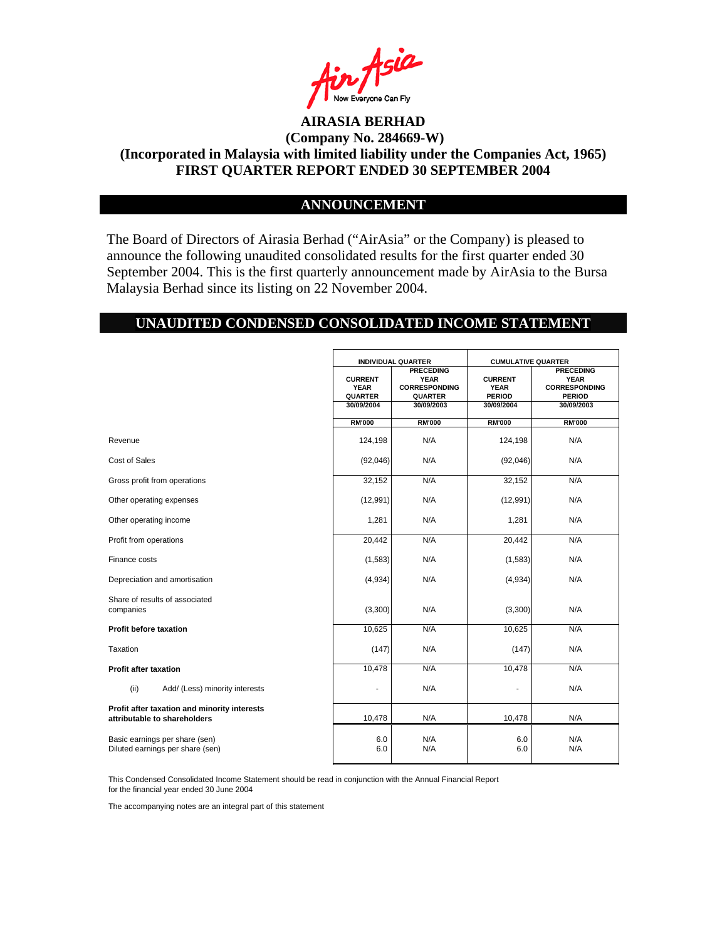

#### **ANNOUNCEMENT**

The Board of Directors of Airasia Berhad ("AirAsia" or the Company) is pleased to announce the following unaudited consolidated results for the first quarter ended 30 September 2004. This is the first quarterly announcement made by AirAsia to the Bursa Malaysia Berhad since its listing on 22 November 2004.

# **UNAUDITED CONDENSED CONSOLIDATED INCOME STATEMENT**

|                                                                              | <b>INDIVIDUAL QUARTER</b>                       |                                                                           | <b>CUMULATIVE QUARTER</b>                      |                                                                          |
|------------------------------------------------------------------------------|-------------------------------------------------|---------------------------------------------------------------------------|------------------------------------------------|--------------------------------------------------------------------------|
|                                                                              | <b>CURRENT</b><br><b>YEAR</b><br><b>QUARTER</b> | <b>PRECEDING</b><br><b>YEAR</b><br><b>CORRESPONDING</b><br><b>QUARTER</b> | <b>CURRENT</b><br><b>YEAR</b><br><b>PERIOD</b> | <b>PRECEDING</b><br><b>YEAR</b><br><b>CORRESPONDING</b><br><b>PERIOD</b> |
|                                                                              | 30/09/2004                                      | 30/09/2003                                                                | 30/09/2004                                     | 30/09/2003                                                               |
|                                                                              | <b>RM'000</b>                                   | <b>RM'000</b>                                                             | <b>RM'000</b>                                  | <b>RM'000</b>                                                            |
| Revenue                                                                      | 124,198                                         | N/A                                                                       | 124,198                                        | N/A                                                                      |
| Cost of Sales                                                                | (92,046)                                        | N/A                                                                       | (92,046)                                       | N/A                                                                      |
| Gross profit from operations                                                 | 32,152                                          | N/A                                                                       | 32,152                                         | N/A                                                                      |
| Other operating expenses                                                     | (12, 991)                                       | N/A                                                                       | (12,991)                                       | N/A                                                                      |
| Other operating income                                                       | 1,281                                           | N/A                                                                       | 1,281                                          | N/A                                                                      |
| Profit from operations                                                       | 20,442                                          | N/A                                                                       | 20,442                                         | N/A                                                                      |
| Finance costs                                                                | (1, 583)                                        | N/A                                                                       | (1, 583)                                       | N/A                                                                      |
| Depreciation and amortisation                                                | (4,934)                                         | N/A                                                                       | (4,934)                                        | N/A                                                                      |
| Share of results of associated<br>companies                                  | (3,300)                                         | N/A                                                                       | (3,300)                                        | N/A                                                                      |
| Profit before taxation                                                       | 10,625                                          | N/A                                                                       | 10,625                                         | N/A                                                                      |
| Taxation                                                                     | (147)                                           | N/A                                                                       | (147)                                          | N/A                                                                      |
| <b>Profit after taxation</b>                                                 | 10,478                                          | N/A                                                                       | 10,478                                         | N/A                                                                      |
| (ii)<br>Add/ (Less) minority interests                                       |                                                 | N/A                                                                       |                                                | N/A                                                                      |
| Profit after taxation and minority interests<br>attributable to shareholders | 10,478                                          | N/A                                                                       | 10,478                                         | N/A                                                                      |
| Basic earnings per share (sen)<br>Diluted earnings per share (sen)           | 6.0<br>6.0                                      | N/A<br>N/A                                                                | 6.0<br>6.0                                     | N/A<br>N/A                                                               |

This Condensed Consolidated Income Statement should be read in conjunction with the Annual Financial Report for the financial year ended 30 June 2004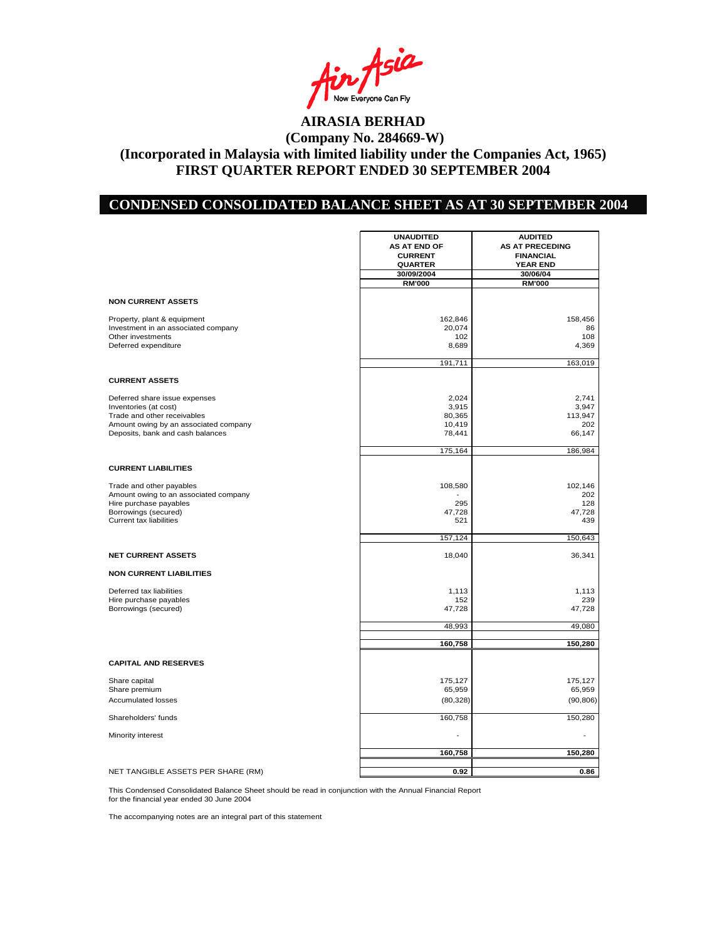in Asia

### **CONDENSED CONSOLIDATED BALANCE SHEET AS AT 30 SEPTEMBER 2004**

|                                       | <b>UNAUDITED</b>    | <b>AUDITED</b>         |
|---------------------------------------|---------------------|------------------------|
|                                       | <b>AS AT END OF</b> | <b>AS AT PRECEDING</b> |
|                                       | <b>CURRENT</b>      | <b>FINANCIAL</b>       |
|                                       | <b>QUARTER</b>      | <b>YEAR END</b>        |
|                                       | 30/09/2004          | 30/06/04               |
|                                       | <b>RM'000</b>       | <b>RM'000</b>          |
|                                       |                     |                        |
| <b>NON CURRENT ASSETS</b>             |                     |                        |
| Property, plant & equipment           | 162,846             | 158,456                |
| Investment in an associated company   | 20,074              | 86                     |
| Other investments                     | 102                 | 108                    |
| Deferred expenditure                  | 8,689               | 4,369                  |
|                                       | 191,711             | 163,019                |
|                                       |                     |                        |
| <b>CURRENT ASSETS</b>                 |                     |                        |
| Deferred share issue expenses         | 2,024               | 2.741                  |
| Inventories (at cost)                 | 3,915               | 3,947                  |
| Trade and other receivables           | 80,365              | 113,947                |
| Amount owing by an associated company | 10,419              | 202                    |
| Deposits, bank and cash balances      | 78,441              | 66,147                 |
|                                       | 175,164             | 186,984                |
| <b>CURRENT LIABILITIES</b>            |                     |                        |
|                                       |                     |                        |
| Trade and other payables              | 108,580             | 102,146                |
| Amount owing to an associated company |                     | 202                    |
| Hire purchase payables                | 295                 | 128                    |
| Borrowings (secured)                  | 47,728              | 47,728                 |
| Current tax liabilities               | 521                 | 439                    |
|                                       | 157,124             | 150,643                |
| <b>NET CURRENT ASSETS</b>             | 18,040              | 36,341                 |
| <b>NON CURRENT LIABILITIES</b>        |                     |                        |
| Deferred tax liabilities              | 1,113               | 1,113                  |
| Hire purchase payables                | 152                 | 239                    |
| Borrowings (secured)                  | 47,728              | 47,728                 |
|                                       | 48,993              | 49,080                 |
|                                       |                     |                        |
|                                       | 160,758             | 150,280                |
| <b>CAPITAL AND RESERVES</b>           |                     |                        |
| Share capital                         | 175,127             | 175,127                |
| Share premium                         | 65,959              | 65,959                 |
| <b>Accumulated losses</b>             | (80, 328)           | (90, 806)              |
|                                       |                     |                        |
| Shareholders' funds                   | 160,758             | 150,280                |
| Minority interest                     |                     |                        |
|                                       | 160,758             | 150,280                |
|                                       |                     |                        |
| NET TANGIBLE ASSETS PER SHARE (RM)    | 0.92                | 0.86                   |

This Condensed Consolidated Balance Sheet should be read in conjunction with the Annual Financial Report

for the financial year ended 30 June 2004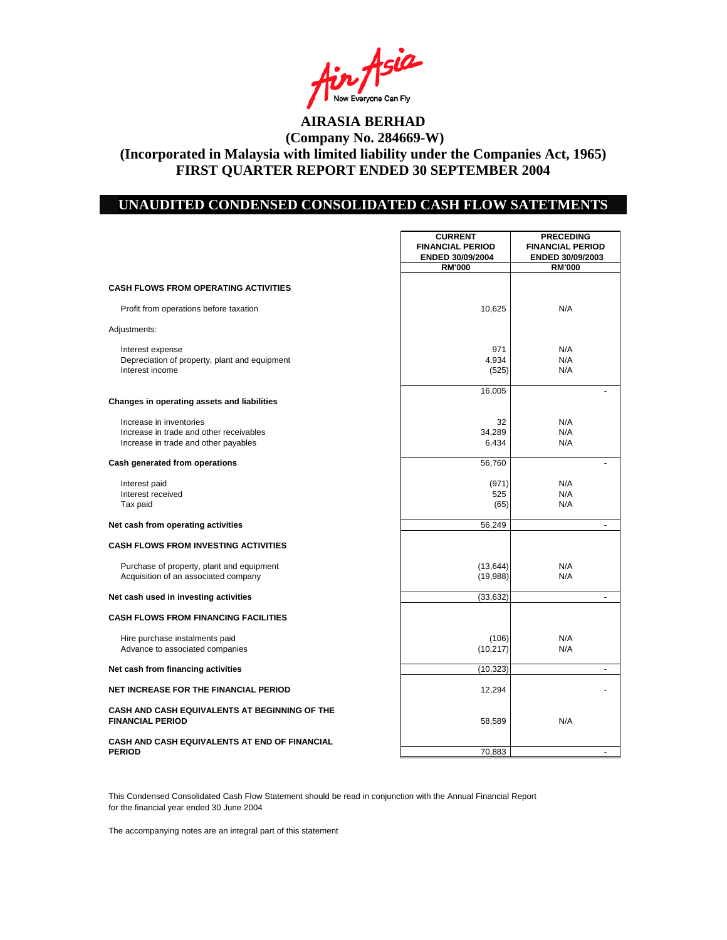in Asia

#### **UNAUDITED CONDENSED CONSOLIDATED CASH FLOW SATETMENTS**

|                                                                                                            | <b>CURRENT</b><br><b>FINANCIAL PERIOD</b><br>ENDED 30/09/2004 | <b>PRECEDING</b><br><b>FINANCIAL PERIOD</b><br>ENDED 30/09/2003 |  |
|------------------------------------------------------------------------------------------------------------|---------------------------------------------------------------|-----------------------------------------------------------------|--|
|                                                                                                            | <b>RM'000</b>                                                 | <b>RM'000</b>                                                   |  |
| <b>CASH FLOWS FROM OPERATING ACTIVITIES</b>                                                                |                                                               |                                                                 |  |
| Profit from operations before taxation                                                                     | 10,625                                                        | N/A                                                             |  |
| Adjustments:                                                                                               |                                                               |                                                                 |  |
| Interest expense<br>Depreciation of property, plant and equipment<br>Interest income                       | 971<br>4,934<br>(525)                                         | N/A<br>N/A<br>N/A                                               |  |
| Changes in operating assets and liabilities                                                                | 16,005                                                        |                                                                 |  |
| Increase in inventories<br>Increase in trade and other receivables<br>Increase in trade and other payables | 32<br>34,289<br>6,434                                         | N/A<br>N/A<br>N/A                                               |  |
| Cash generated from operations                                                                             | 56,760                                                        |                                                                 |  |
| Interest paid<br>Interest received<br>Tax paid                                                             | (971)<br>525<br>(65)                                          | N/A<br>N/A<br>N/A                                               |  |
| Net cash from operating activities                                                                         | 56,249                                                        |                                                                 |  |
| <b>CASH FLOWS FROM INVESTING ACTIVITIES</b>                                                                |                                                               |                                                                 |  |
| Purchase of property, plant and equipment<br>Acquisition of an associated company                          | (13, 644)<br>(19,988)                                         | N/A<br>N/A                                                      |  |
| Net cash used in investing activities                                                                      | (33, 632)                                                     | $\blacksquare$                                                  |  |
| <b>CASH FLOWS FROM FINANCING FACILITIES</b>                                                                |                                                               |                                                                 |  |
| Hire purchase instalments paid<br>Advance to associated companies                                          | (106)<br>(10, 217)                                            | N/A<br>N/A                                                      |  |
| Net cash from financing activities                                                                         | (10, 323)                                                     | $\sim$                                                          |  |
| <b>NET INCREASE FOR THE FINANCIAL PERIOD</b>                                                               | 12,294                                                        |                                                                 |  |
| CASH AND CASH EQUIVALENTS AT BEGINNING OF THE<br><b>FINANCIAL PERIOD</b>                                   | 58,589                                                        | N/A                                                             |  |
| CASH AND CASH EQUIVALENTS AT END OF FINANCIAL<br><b>PERIOD</b>                                             | 70,883                                                        |                                                                 |  |

This Condensed Consolidated Cash Flow Statement should be read in conjunction with the Annual Financial Report for the financial year ended 30 June 2004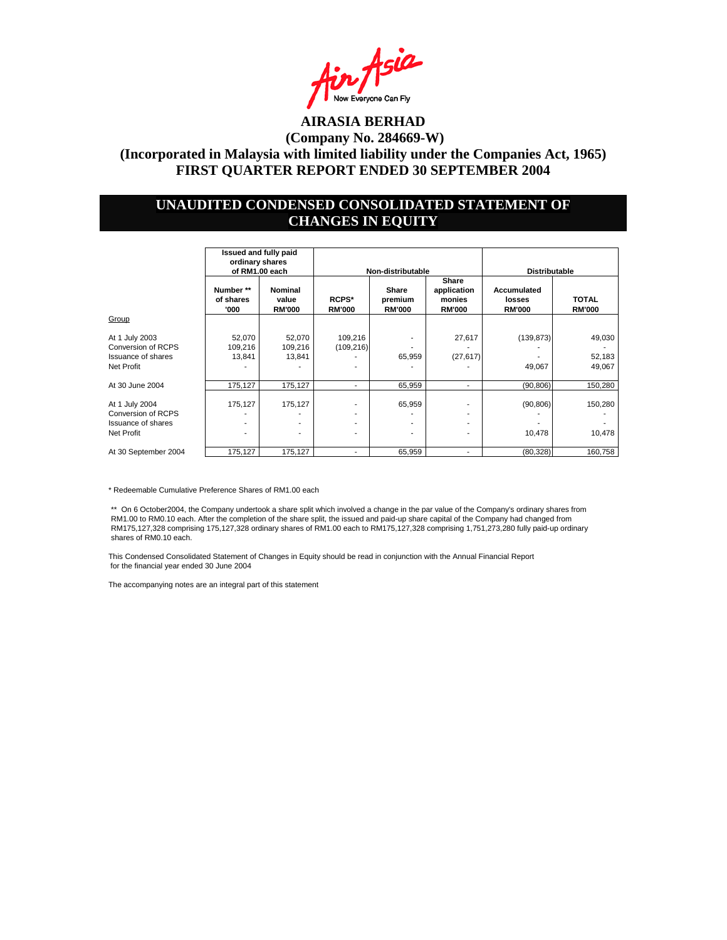

#### **UNAUDITED CONDENSED CONSOLIDATED STATEMENT OF CHANGES IN EQUITY**

|                                                                                        |                                | Issued and fully paid<br>ordinary shares<br>of RM1.00 each |                            | Non-distributable                 |                                                 | <b>Distributable</b>                   |                               |
|----------------------------------------------------------------------------------------|--------------------------------|------------------------------------------------------------|----------------------------|-----------------------------------|-------------------------------------------------|----------------------------------------|-------------------------------|
|                                                                                        | Number **<br>of shares<br>'000 | Nominal<br>value<br><b>RM'000</b>                          | RCPS*<br><b>RM'000</b>     | Share<br>premium<br><b>RM'000</b> | Share<br>application<br>monies<br><b>RM'000</b> | Accumulated<br>losses<br><b>RM'000</b> | <b>TOTAL</b><br><b>RM'000</b> |
| Group                                                                                  |                                |                                                            |                            |                                   |                                                 |                                        |                               |
| At 1 July 2003<br>Conversion of RCPS<br><b>Issuance of shares</b><br>Net Profit        | 52,070<br>109,216<br>13,841    | 52,070<br>109,216<br>13,841                                | 109,216<br>(109, 216)<br>۰ | 65,959                            | 27,617<br>(27, 617)                             | (139, 873)<br>49,067                   | 49,030<br>52,183<br>49,067    |
| At 30 June 2004                                                                        | 175,127                        | 175,127                                                    | $\blacksquare$             | 65,959                            | $\overline{a}$                                  | (90, 806)                              | 150,280                       |
| At 1 July 2004<br><b>Conversion of RCPS</b><br><b>Issuance of shares</b><br>Net Profit | 175,127<br>۰                   | 175,127                                                    | ۰.<br>۰.<br>۰<br>۰         | 65,959<br>٠<br>٠                  |                                                 | (90, 806)<br>10,478                    | 150,280<br>10,478             |
| At 30 September 2004                                                                   | 175,127                        | 175,127                                                    | ۰                          | 65,959                            | $\overline{a}$                                  | (80, 328)                              | 160,758                       |

\* Redeemable Cumulative Preference Shares of RM1.00 each

\*\* On 6 October2004, the Company undertook a share split which involved a change in the par value of the Company's ordinary shares from RM1.00 to RM0.10 each. After the completion of the share split, the issued and paid-up share capital of the Company had changed from RM175,127,328 comprising 175,127,328 ordinary shares of RM1.00 each to RM175,127,328 comprising 1,751,273,280 fully paid-up ordinary shares of RM0.10 each.

This Condensed Consolidated Statement of Changes in Equity should be read in conjunction with the Annual Financial Report for the financial year ended 30 June 2004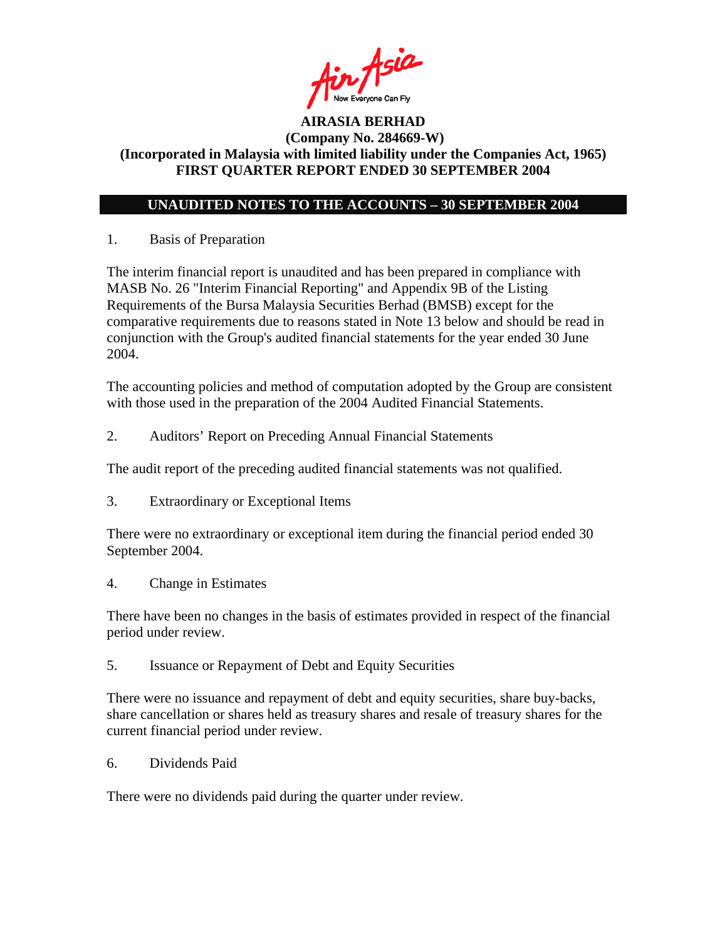

# **UNAUDITED NOTES TO THE ACCOUNTS – 30 SEPTEMBER 2004**

# 1. Basis of Preparation

The interim financial report is unaudited and has been prepared in compliance with MASB No. 26 "Interim Financial Reporting" and Appendix 9B of the Listing Requirements of the Bursa Malaysia Securities Berhad (BMSB) except for the comparative requirements due to reasons stated in Note 13 below and should be read in conjunction with the Group's audited financial statements for the year ended 30 June 2004.

The accounting policies and method of computation adopted by the Group are consistent with those used in the preparation of the 2004 Audited Financial Statements.

2. Auditors' Report on Preceding Annual Financial Statements

The audit report of the preceding audited financial statements was not qualified.

3. Extraordinary or Exceptional Items

There were no extraordinary or exceptional item during the financial period ended 30 September 2004.

4. Change in Estimates

There have been no changes in the basis of estimates provided in respect of the financial period under review.

5. Issuance or Repayment of Debt and Equity Securities

There were no issuance and repayment of debt and equity securities, share buy-backs, share cancellation or shares held as treasury shares and resale of treasury shares for the current financial period under review.

6. Dividends Paid

There were no dividends paid during the quarter under review.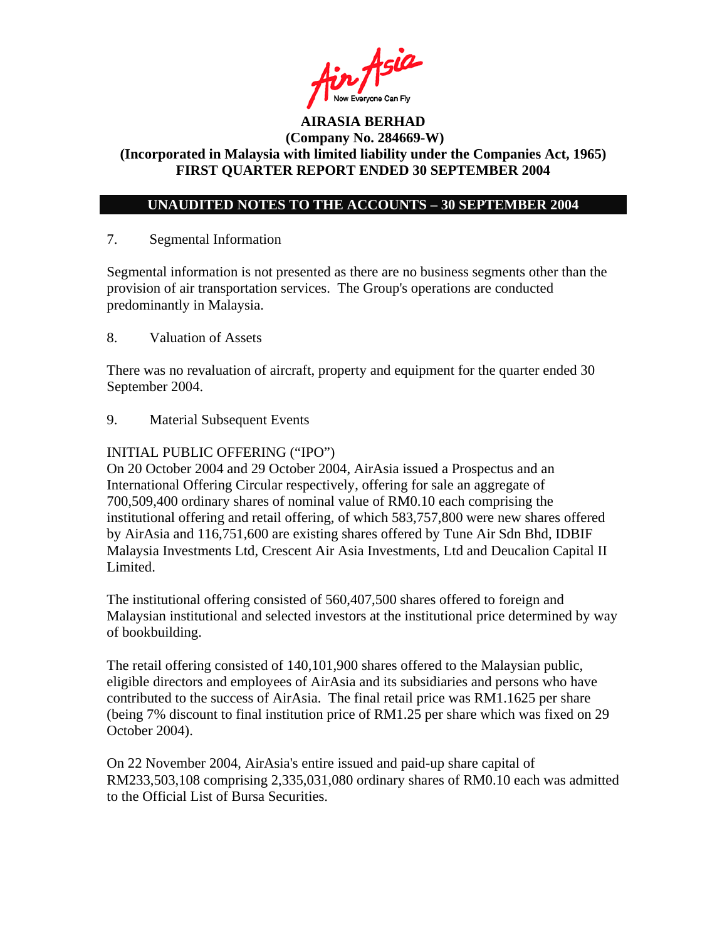

### **UNAUDITED NOTES TO THE ACCOUNTS – 30 SEPTEMBER 2004**

### 7. Segmental Information

Segmental information is not presented as there are no business segments other than the provision of air transportation services. The Group's operations are conducted predominantly in Malaysia.

8. Valuation of Assets

There was no revaluation of aircraft, property and equipment for the quarter ended 30 September 2004.

9. Material Subsequent Events

### INITIAL PUBLIC OFFERING ("IPO")

On 20 October 2004 and 29 October 2004, AirAsia issued a Prospectus and an International Offering Circular respectively, offering for sale an aggregate of 700,509,400 ordinary shares of nominal value of RM0.10 each comprising the institutional offering and retail offering, of which 583,757,800 were new shares offered by AirAsia and 116,751,600 are existing shares offered by Tune Air Sdn Bhd, IDBIF Malaysia Investments Ltd, Crescent Air Asia Investments, Ltd and Deucalion Capital II Limited.

The institutional offering consisted of 560,407,500 shares offered to foreign and Malaysian institutional and selected investors at the institutional price determined by way of bookbuilding.

The retail offering consisted of 140,101,900 shares offered to the Malaysian public, eligible directors and employees of AirAsia and its subsidiaries and persons who have contributed to the success of AirAsia. The final retail price was RM1.1625 per share (being 7% discount to final institution price of RM1.25 per share which was fixed on 29 October 2004).

On 22 November 2004, AirAsia's entire issued and paid-up share capital of RM233,503,108 comprising 2,335,031,080 ordinary shares of RM0.10 each was admitted to the Official List of Bursa Securities.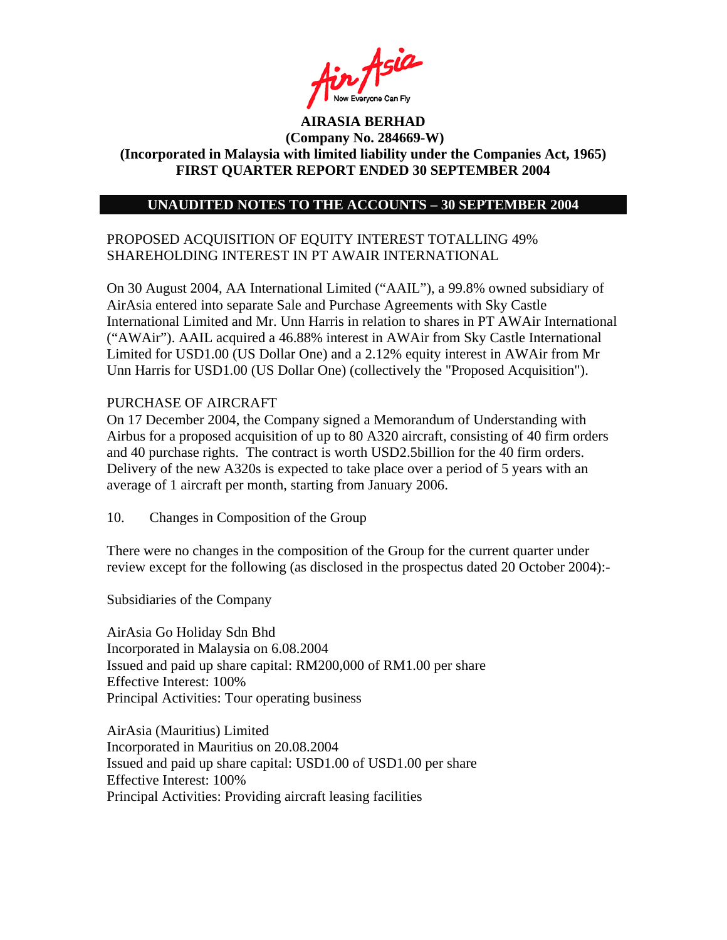

### **UNAUDITED NOTES TO THE ACCOUNTS – 30 SEPTEMBER 2004**

# PROPOSED ACQUISITION OF EQUITY INTEREST TOTALLING 49% SHAREHOLDING INTEREST IN PT AWAIR INTERNATIONAL

On 30 August 2004, AA International Limited ("AAIL"), a 99.8% owned subsidiary of AirAsia entered into separate Sale and Purchase Agreements with Sky Castle International Limited and Mr. Unn Harris in relation to shares in PT AWAir International ("AWAir"). AAIL acquired a 46.88% interest in AWAir from Sky Castle International Limited for USD1.00 (US Dollar One) and a 2.12% equity interest in AWAir from Mr Unn Harris for USD1.00 (US Dollar One) (collectively the "Proposed Acquisition").

### PURCHASE OF AIRCRAFT

On 17 December 2004, the Company signed a Memorandum of Understanding with Airbus for a proposed acquisition of up to 80 A320 aircraft, consisting of 40 firm orders and 40 purchase rights. The contract is worth USD2.5billion for the 40 firm orders. Delivery of the new A320s is expected to take place over a period of 5 years with an average of 1 aircraft per month, starting from January 2006.

10. Changes in Composition of the Group

There were no changes in the composition of the Group for the current quarter under review except for the following (as disclosed in the prospectus dated 20 October 2004):-

Subsidiaries of the Company

AirAsia Go Holiday Sdn Bhd Incorporated in Malaysia on 6.08.2004 Issued and paid up share capital: RM200,000 of RM1.00 per share Effective Interest: 100% Principal Activities: Tour operating business

AirAsia (Mauritius) Limited Incorporated in Mauritius on 20.08.2004 Issued and paid up share capital: USD1.00 of USD1.00 per share Effective Interest: 100% Principal Activities: Providing aircraft leasing facilities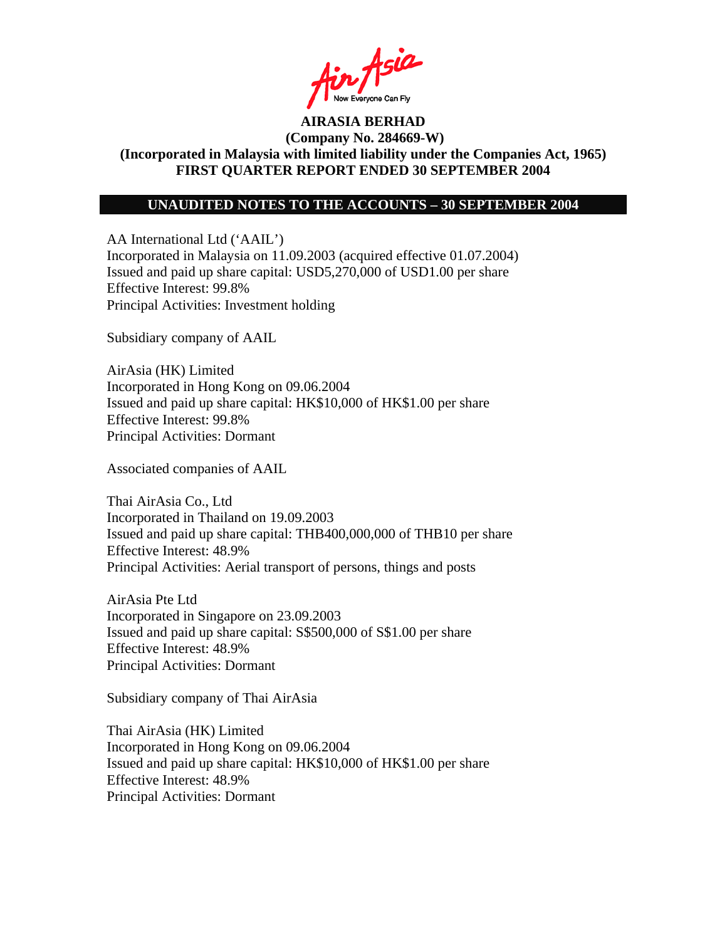

### **UNAUDITED NOTES TO THE ACCOUNTS – 30 SEPTEMBER 2004**

AA International Ltd ('AAIL') Incorporated in Malaysia on 11.09.2003 (acquired effective 01.07.2004) Issued and paid up share capital: USD5,270,000 of USD1.00 per share Effective Interest: 99.8% Principal Activities: Investment holding

Subsidiary company of AAIL

AirAsia (HK) Limited Incorporated in Hong Kong on 09.06.2004 Issued and paid up share capital: HK\$10,000 of HK\$1.00 per share Effective Interest: 99.8% Principal Activities: Dormant

Associated companies of AAIL

Thai AirAsia Co., Ltd Incorporated in Thailand on 19.09.2003 Issued and paid up share capital: THB400,000,000 of THB10 per share Effective Interest: 48.9% Principal Activities: Aerial transport of persons, things and posts

AirAsia Pte Ltd Incorporated in Singapore on 23.09.2003 Issued and paid up share capital: S\$500,000 of S\$1.00 per share Effective Interest: 48.9% Principal Activities: Dormant

Subsidiary company of Thai AirAsia

Thai AirAsia (HK) Limited Incorporated in Hong Kong on 09.06.2004 Issued and paid up share capital: HK\$10,000 of HK\$1.00 per share Effective Interest: 48.9% Principal Activities: Dormant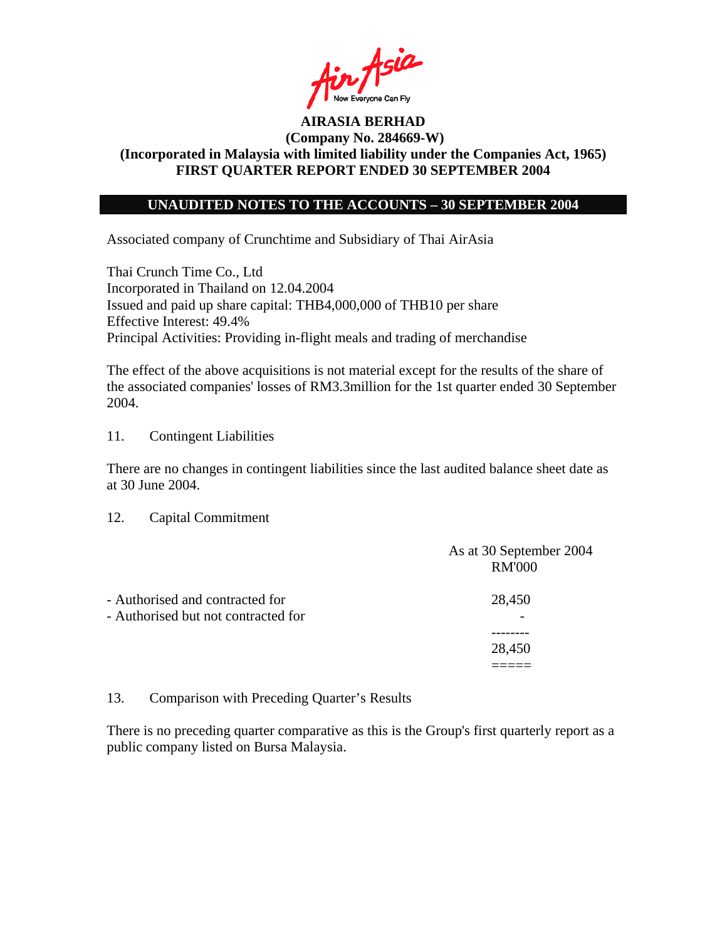

### **UNAUDITED NOTES TO THE ACCOUNTS – 30 SEPTEMBER 2004**

Associated company of Crunchtime and Subsidiary of Thai AirAsia

Thai Crunch Time Co., Ltd Incorporated in Thailand on 12.04.2004 Issued and paid up share capital: THB4,000,000 of THB10 per share Effective Interest: 49.4% Principal Activities: Providing in-flight meals and trading of merchandise

The effect of the above acquisitions is not material except for the results of the share of the associated companies' losses of RM3.3million for the 1st quarter ended 30 September 2004.

11. Contingent Liabilities

There are no changes in contingent liabilities since the last audited balance sheet date as at 30 June 2004.

12. Capital Commitment

|                                                                        | As at 30 September 2004<br><b>RM'000</b> |
|------------------------------------------------------------------------|------------------------------------------|
| - Authorised and contracted for<br>- Authorised but not contracted for | 28,450                                   |
|                                                                        |                                          |
|                                                                        | 28,450                                   |
|                                                                        |                                          |

#### 13. Comparison with Preceding Quarter's Results

There is no preceding quarter comparative as this is the Group's first quarterly report as a public company listed on Bursa Malaysia.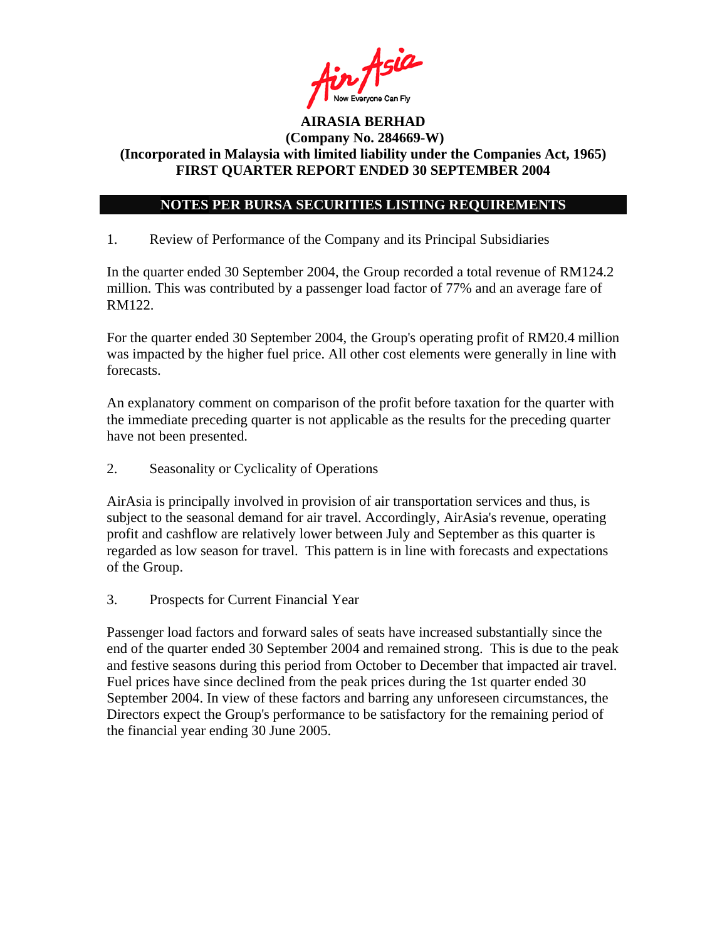

# **NOTES PER BURSA SECURITIES LISTING REQUIREMENTS**

1. Review of Performance of the Company and its Principal Subsidiaries

In the quarter ended 30 September 2004, the Group recorded a total revenue of RM124.2 million. This was contributed by a passenger load factor of 77% and an average fare of RM122.

For the quarter ended 30 September 2004, the Group's operating profit of RM20.4 million was impacted by the higher fuel price. All other cost elements were generally in line with forecasts.

An explanatory comment on comparison of the profit before taxation for the quarter with the immediate preceding quarter is not applicable as the results for the preceding quarter have not been presented.

2. Seasonality or Cyclicality of Operations

AirAsia is principally involved in provision of air transportation services and thus, is subject to the seasonal demand for air travel. Accordingly, AirAsia's revenue, operating profit and cashflow are relatively lower between July and September as this quarter is regarded as low season for travel. This pattern is in line with forecasts and expectations of the Group.

3. Prospects for Current Financial Year

Passenger load factors and forward sales of seats have increased substantially since the end of the quarter ended 30 September 2004 and remained strong. This is due to the peak and festive seasons during this period from October to December that impacted air travel. Fuel prices have since declined from the peak prices during the 1st quarter ended 30 September 2004. In view of these factors and barring any unforeseen circumstances, the Directors expect the Group's performance to be satisfactory for the remaining period of the financial year ending 30 June 2005.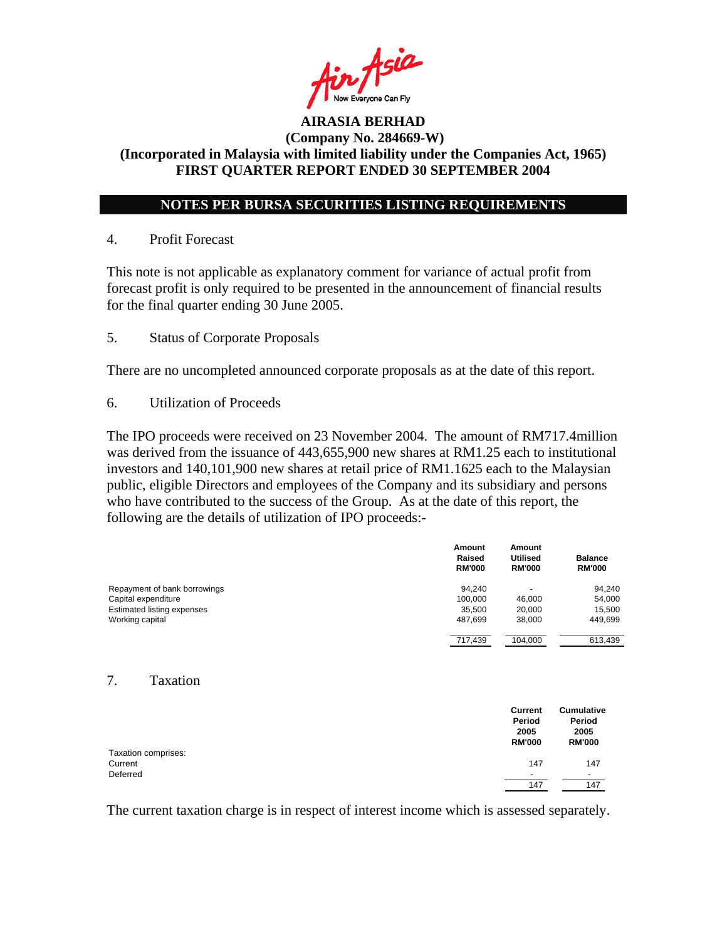

# **NOTES PER BURSA SECURITIES LISTING REQUIREMENTS**

### 4. Profit Forecast

This note is not applicable as explanatory comment for variance of actual profit from forecast profit is only required to be presented in the announcement of financial results for the final quarter ending 30 June 2005.

5. Status of Corporate Proposals

There are no uncompleted announced corporate proposals as at the date of this report.

6. Utilization of Proceeds

The IPO proceeds were received on 23 November 2004. The amount of RM717.4million was derived from the issuance of 443,655,900 new shares at RM1.25 each to institutional investors and 140,101,900 new shares at retail price of RM1.1625 each to the Malaysian public, eligible Directors and employees of the Company and its subsidiary and persons who have contributed to the success of the Group. As at the date of this report, the following are the details of utilization of IPO proceeds:-

|                                   | Amount<br>Raised<br><b>RM'000</b> | Amount<br><b>Utilised</b><br><b>RM'000</b> | <b>Balance</b><br><b>RM'000</b> |
|-----------------------------------|-----------------------------------|--------------------------------------------|---------------------------------|
| Repayment of bank borrowings      | 94.240                            | $\overline{a}$                             | 94,240                          |
| Capital expenditure               | 100.000                           | 46,000                                     | 54,000                          |
| <b>Estimated listing expenses</b> | 35,500                            | 20,000                                     | 15,500                          |
| Working capital                   | 487,699                           | 38,000                                     | 449,699                         |
|                                   | 717,439                           | 104,000                                    | 613,439                         |
|                                   |                                   |                                            |                                 |

#### 7. Taxation

|                                | Current<br>Period<br>2005<br><b>RM'000</b> | <b>Cumulative</b><br>Period<br>2005<br><b>RM'000</b> |
|--------------------------------|--------------------------------------------|------------------------------------------------------|
| Taxation comprises:<br>Current | 147                                        | 147                                                  |
| Deferred                       | $\overline{\phantom{0}}$<br>147            | ٠<br>147                                             |

The current taxation charge is in respect of interest income which is assessed separately.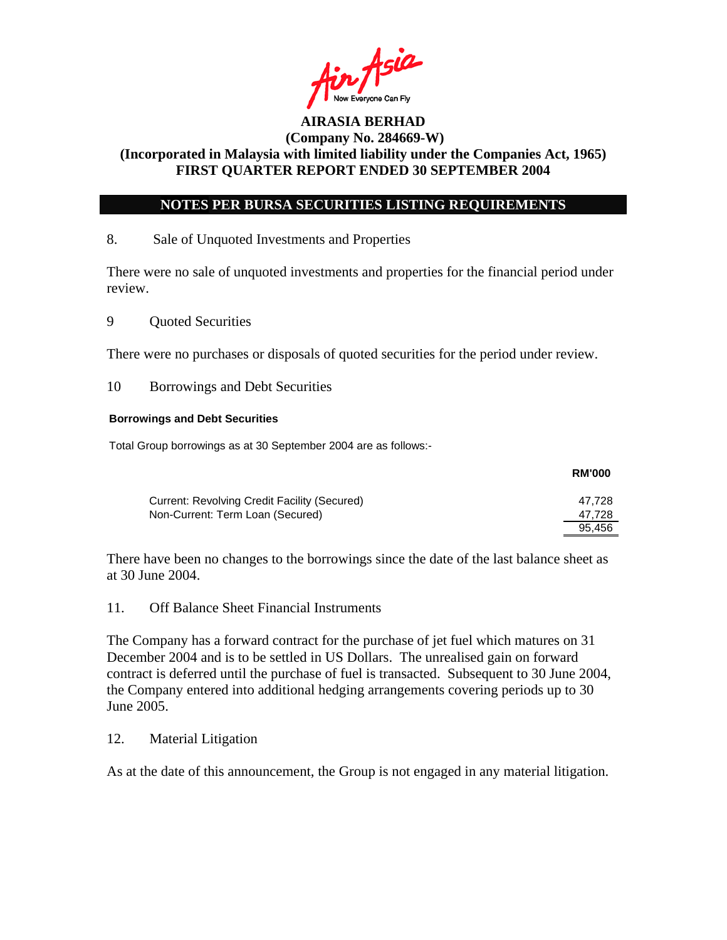

### **NOTES PER BURSA SECURITIES LISTING REQUIREMENTS**

### 8. Sale of Unquoted Investments and Properties

There were no sale of unquoted investments and properties for the financial period under review.

9 Quoted Securities

There were no purchases or disposals of quoted securities for the period under review.

10 Borrowings and Debt Securities

#### **Borrowings and Debt Securities**

Total Group borrowings as at 30 September 2004 are as follows:-

|                                              | <b>RM'000</b> |
|----------------------------------------------|---------------|
| Current: Revolving Credit Facility (Secured) | 47.728        |
| Non-Current: Term Loan (Secured)             | 47.728        |
|                                              | 95.456        |

There have been no changes to the borrowings since the date of the last balance sheet as at 30 June 2004.

### 11. Off Balance Sheet Financial Instruments

The Company has a forward contract for the purchase of jet fuel which matures on 31 December 2004 and is to be settled in US Dollars. The unrealised gain on forward contract is deferred until the purchase of fuel is transacted. Subsequent to 30 June 2004, the Company entered into additional hedging arrangements covering periods up to 30 June 2005.

### 12. Material Litigation

As at the date of this announcement, the Group is not engaged in any material litigation.